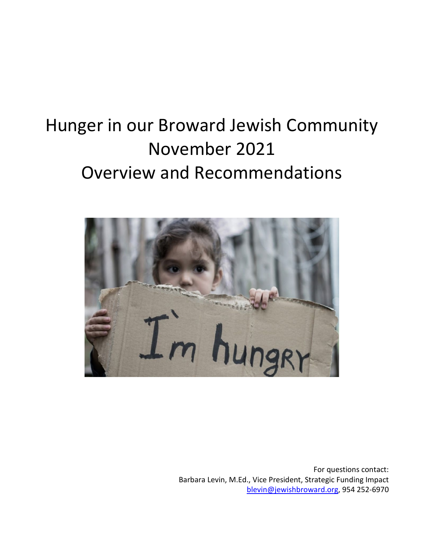# Hunger in our Broward Jewish Community November 2021 Overview and Recommendations



For questions contact: Barbara Levin, M.Ed., Vice President, Strategic Funding Impact [blevin@jewishbroward.org,](mailto:blevin@jewishbroward.org) 954 252-6970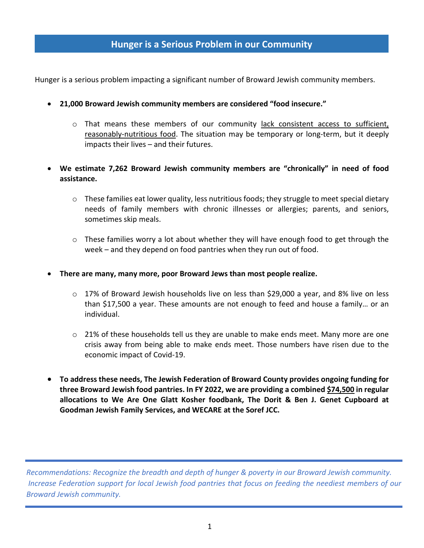## **Hunger is a Serious Problem in our Community**

Hunger is a serious problem impacting a significant number of Broward Jewish community members.

- **21,000 Broward Jewish community members are considered "food insecure."**
	- $\circ$  That means these members of our community lack consistent access to sufficient, reasonably-nutritious food. The situation may be temporary or long-term, but it deeply impacts their lives – and their futures.
- **We estimate 7,262 Broward Jewish community members are "chronically" in need of food assistance.**
	- $\circ$  These families eat lower quality, less nutritious foods; they struggle to meet special dietary needs of family members with chronic illnesses or allergies; parents, and seniors, sometimes skip meals.
	- $\circ$  These families worry a lot about whether they will have enough food to get through the week – and they depend on food pantries when they run out of food.
- **There are many, many more, poor Broward Jews than most people realize.**
	- $\circ$  17% of Broward Jewish households live on less than \$29,000 a year, and 8% live on less than \$17,500 a year. These amounts are not enough to feed and house a family… or an individual.
	- o 21% of these households tell us they are unable to make ends meet. Many more are one crisis away from being able to make ends meet. Those numbers have risen due to the economic impact of Covid-19.
- **To address these needs, The Jewish Federation of Broward County provides ongoing funding for three Broward Jewish food pantries. In FY 2022, we are providing a combined \$74,500 in regular allocations to We Are One Glatt Kosher foodbank, The Dorit & Ben J. Genet Cupboard at Goodman Jewish Family Services, and WECARE at the Soref JCC.**

*Recommendations: Recognize the breadth and depth of hunger & poverty in our Broward Jewish community. Increase Federation support for local Jewish food pantries that focus on feeding the neediest members of our Broward Jewish community.*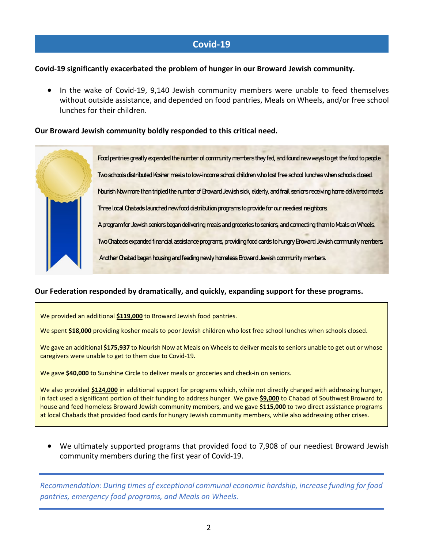## **Covid-19**

#### **Covid-19 significantly exacerbated the problem of hunger in our Broward Jewish community.**

• In the wake of Covid-19, 9,140 Jewish community members were unable to feed themselves without outside assistance, and depended on food pantries, Meals on Wheels, and/or free school lunches for their children.

#### **Our Broward Jewish community boldly responded to this critical need.**

Food pantries greatly expanded the number of community members they fed, and found new ways to get the food to people. Two schools distributed Kosher meals to low-income school children who lost free school lunches when schools closed. Nourish Now more than tripledthe number of Broward Jewish sick, elderly, and frail seniors receiving home delivered meals. Three localChabads launched new food distribution programs to provide for our neediest neighbors. A program for Jewish seniors began delivering meals and groceries to seniors, and connecting them to Meals on Wheels. Two Chabads expanded financial assistance programs, providing food cards to hungry Broward Jewish community members. Another Chabad began housing and feeding newly homeless Broward Jewish community members.

#### **Our Federation responded by dramatically, and quickly, expanding support for these programs.**

We provided an additional **\$119,000** to Broward Jewish food pantries.

We spent \$18,000 providing kosher meals to poor Jewish children who lost free school lunches when schools closed.

We gave an additional **\$175,937** to Nourish Now at Meals on Wheels to deliver meals to seniors unable to get out or whose caregivers were unable to get to them due to Covid-19.

We gave **\$40,000** to Sunshine Circle to deliver meals or groceries and check-in on seniors.

We also provided **\$124,000** in additional support for programs which, while not directly charged with addressing hunger, in fact used a significant portion of their funding to address hunger. We gave **\$9,000** to Chabad of Southwest Broward to house and feed homeless Broward Jewish community members, and we gave **\$115,000** to two direct assistance programs at local Chabads that provided food cards for hungry Jewish community members, while also addressing other crises.

• We ultimately supported programs that provided food to 7,908 of our neediest Broward Jewish community members during the first year of Covid-19.

*Recommendation: During times of exceptional communal economic hardship, increase funding for food pantries, emergency food programs, and Meals on Wheels.*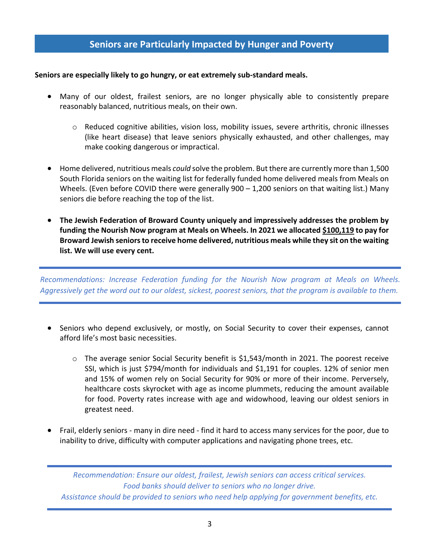## **Seniors are Particularly Impacted by Hunger and Poverty**

#### **Seniors are especially likely to go hungry, or eat extremely sub-standard meals.**

- Many of our oldest, frailest seniors, are no longer physically able to consistently prepare reasonably balanced, nutritious meals, on their own.
	- $\circ$  Reduced cognitive abilities, vision loss, mobility issues, severe arthritis, chronic illnesses (like heart disease) that leave seniors physically exhausted, and other challenges, may make cooking dangerous or impractical.
- Home delivered, nutritious meals *could* solve the problem. But there are currently more than 1,500 South Florida seniors on the waiting list for federally funded home delivered meals from Meals on Wheels. (Even before COVID there were generally 900 - 1,200 seniors on that waiting list.) Many seniors die before reaching the top of the list.
- **The Jewish Federation of Broward County uniquely and impressively addresses the problem by funding the Nourish Now program at Meals on Wheels. In 2021 we allocated \$100,119 to pay for Broward Jewish seniors to receive home delivered, nutritious meals while they sit on the waiting list. We will use every cent.**

*Recommendations: Increase Federation funding for the Nourish Now program at Meals on Wheels. Aggressively get the word out to our oldest, sickest, poorest seniors, that the program is available to them.*

- Seniors who depend exclusively, or mostly, on Social Security to cover their expenses, cannot afford life's most basic necessities.
	- $\circ$  The average senior Social Security benefit is \$1,543/month in 2021. The poorest receive SSI, which is just \$794/month for individuals and \$1,191 for couples. 12% of senior men and 15% of women rely on Social Security for 90% or more of their income. Perversely, healthcare costs skyrocket with age as income plummets, reducing the amount available for food. Poverty rates increase with age and widowhood, leaving our oldest seniors in greatest need.
- Frail, elderly seniors many in dire need find it hard to access many services for the poor, due to inability to drive, difficulty with computer applications and navigating phone trees, etc.

*Recommendation: Ensure our oldest, frailest, Jewish seniors can access critical services. Food banks should deliver to seniors who no longer drive. Assistance should be provided to seniors who need help applying for government benefits, etc.*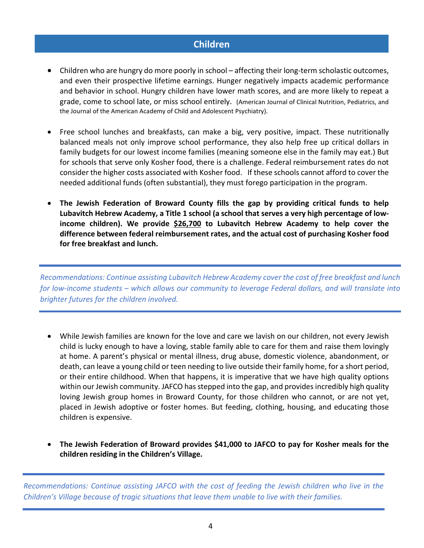## **Children**

- Children who are hungry do more poorly in school affecting their long-term scholastic outcomes, and even their prospective lifetime earnings. Hunger negatively impacts academic performance and behavior in school. Hungry children have lower math scores, and are more likely to repeat a grade, come to school late, or miss school entirely. (American Journal of Clinical Nutrition, Pediatrics, and the Journal of the American Academy of Child and Adolescent Psychiatry).
- Free school lunches and breakfasts, can make a big, very positive, impact. These nutritionally balanced meals not only improve school performance, they also help free up critical dollars in family budgets for our lowest income families (meaning someone else in the family may eat.) But for schools that serve only Kosher food, there is a challenge. Federal reimbursement rates do not consider the higher costs associated with Kosher food. If these schools cannot afford to cover the needed additional funds (often substantial), they must forego participation in the program.
- **The Jewish Federation of Broward County fills the gap by providing critical funds to help Lubavitch Hebrew Academy, a Title 1 school (a school that serves a very high percentage of lowincome children). We provide \$26,700 to Lubavitch Hebrew Academy to help cover the difference between federal reimbursement rates, and the actual cost of purchasing Kosher food for free breakfast and lunch.**

*Recommendations: Continue assisting Lubavitch Hebrew Academy cover the cost of free breakfast and lunch for low-income students – which allows our community to leverage Federal dollars, and will translate into brighter futures for the children involved.* 

- While Jewish families are known for the love and care we lavish on our children, not every Jewish child is lucky enough to have a loving, stable family able to care for them and raise them lovingly at home. A parent's physical or mental illness, drug abuse, domestic violence, abandonment, or death, can leave a young child or teen needing to live outside their family home, for a short period, or their entire childhood. When that happens, it is imperative that we have high quality options within our Jewish community. JAFCO has stepped into the gap, and provides incredibly high quality loving Jewish group homes in Broward County, for those children who cannot, or are not yet, placed in Jewish adoptive or foster homes. But feeding, clothing, housing, and educating those children is expensive.
- **The Jewish Federation of Broward provides \$41,000 to JAFCO to pay for Kosher meals for the children residing in the Children's Village.**

*Recommendations: Continue assisting JAFCO with the cost of feeding the Jewish children who live in the Children's Village because of tragic situations that leave them unable to live with their families.*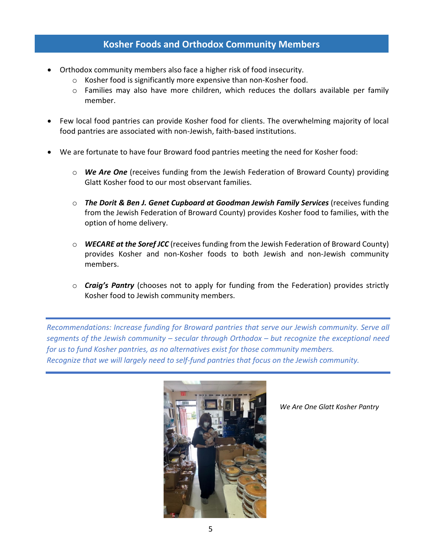## **Kosher Foods and Orthodox Community Members**

- Orthodox community members also face a higher risk of food insecurity.
	- o Kosher food is significantly more expensive than non-Kosher food.
	- $\circ$  Families may also have more children, which reduces the dollars available per family member.
- Few local food pantries can provide Kosher food for clients. The overwhelming majority of local food pantries are associated with non-Jewish, faith-based institutions.
- We are fortunate to have four Broward food pantries meeting the need for Kosher food:
	- o *We Are One* (receives funding from the Jewish Federation of Broward County) providing Glatt Kosher food to our most observant families.
	- o *The Dorit & Ben J. Genet Cupboard at Goodman Jewish Family Services* (receives funding from the Jewish Federation of Broward County) provides Kosher food to families, with the option of home delivery.
	- o *WECARE at the Soref JCC* (receives funding from the Jewish Federation of Broward County) provides Kosher and non-Kosher foods to both Jewish and non-Jewish community members.
	- o *Craig's Pantry* (chooses not to apply for funding from the Federation) provides strictly Kosher food to Jewish community members.

*Recommendations: Increase funding for Broward pantries that serve our Jewish community. Serve all segments of the Jewish community – secular through Orthodox – but recognize the exceptional need for us to fund Kosher pantries, as no alternatives exist for those community members. Recognize that we will largely need to self-fund pantries that focus on the Jewish community.* 



*We Are One Glatt Kosher Pantry*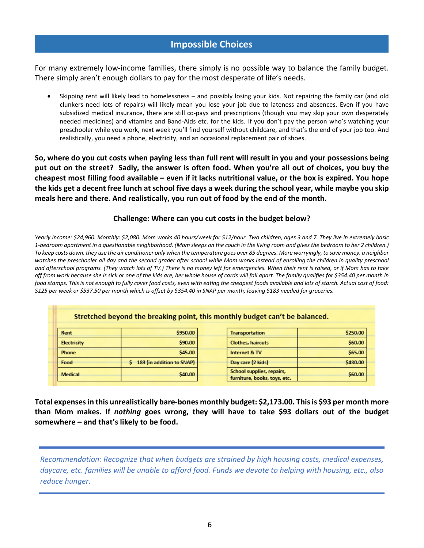## **Impossible Choices**

For many extremely low-income families, there simply is no possible way to balance the family budget. There simply aren't enough dollars to pay for the most desperate of life's needs.

• Skipping rent will likely lead to homelessness – and possibly losing your kids. Not repairing the family car (and old clunkers need lots of repairs) will likely mean you lose your job due to lateness and absences. Even if you have subsidized medical insurance, there are still co-pays and prescriptions (though you may skip your own desperately needed medicines) and vitamins and Band-Aids etc. for the kids. If you don't pay the person who's watching your preschooler while you work, next week you'll find yourself without childcare, and that's the end of your job too. And realistically, you need a phone, electricity, and an occasional replacement pair of shoes.

**So, where do you cut costs when paying less than full rent will result in you and your possessions being put out on the street? Sadly, the answer is often food. When you're all out of choices, you buy the cheapest most filling food available – even if it lacks nutritional value, or the box is expired. You hope the kids get a decent free lunch at school five days a week during the school year, while maybe you skip meals here and there. And realistically, you run out of food by the end of the month.**

#### **Challenge: Where can you cut costs in the budget below?**

*Yearly Income: \$24,960. Monthly: \$2,080. Mom works 40 hours/week for \$12/hour. Two children, ages 3 and 7. They live in extremely basic 1-bedroom apartment in a questionable neighborhood. (Mom sleeps on the couch in the living room and gives the bedroom to her 2 children.) To keep costs down, they use the air conditioner only when the temperature goes over 85 degrees. More worryingly, to save money, a neighbor watches the preschooler all day and the second grader after school while Mom works instead of enrolling the children in quality preschool and afterschool programs. (They watch lots of TV.) There is no money left for emergencies. When their rent is raised, or if Mom has to take off from work because she is sick or one of the kids are, her whole house of cards will fall apart. The family qualifies for \$354.40 per month in food stamps. This is not enough to fully cover food costs, even with eating the cheapest foods available and lots of starch. Actual cost of food: \$125 per week or \$537.50 per month which is offset by \$354.40 in SNAP per month, leaving \$183 needed for groceries.*

| Stretched beyond the breaking point, this monthly budget can't be balanced. |  |
|-----------------------------------------------------------------------------|--|

|  | Rent               | \$950.00                  | <b>Transportation</b>        | \$250.00 |
|--|--------------------|---------------------------|------------------------------|----------|
|  | <b>Electricity</b> | \$90.00                   | <b>Clothes, haircuts</b>     | \$60.00  |
|  | <b>Phone</b>       | \$45.00                   | Internet & TV                | \$65.00  |
|  | Food               | 183 (in addition to SNAP) | Day care (2 kids)            | \$430.00 |
|  | <b>Medical</b>     | \$40.00                   | School supplies, repairs,    | \$60.00  |
|  |                    |                           | furniture, books, toys, etc. |          |

**Total expenses in this unrealistically bare-bones monthly budget: \$2,173.00. This is \$93 per month more than Mom makes. If** *nothing* **goes wrong, they will have to take \$93 dollars out of the budget somewhere – and that's likely to be food.** 

*Recommendation: Recognize that when budgets are strained by high housing costs, medical expenses, daycare, etc. families will be unable to afford food. Funds we devote to helping with housing, etc., also reduce hunger.*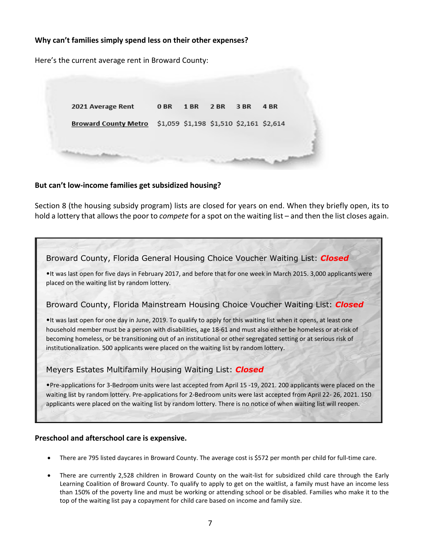#### **Why can't families simply spend less on their other expenses?**

Here's the current average rent in Broward County:



#### **But can't low-income families get subsidized housing?**

Section 8 (the housing subsidy program) lists are closed for years on end. When they briefly open, its to hold a lottery that allows the poor to *compete* for a spot on the waiting list – and then the list closes again.



#### **Preschool and afterschool care is expensive.**

- There are 795 listed daycares in Broward County. The average cost is \$572 per month per child for full-time care.
- There are currently 2,528 children in Broward County on the wait-list for subsidized child care through the Early Learning Coalition of Broward County. To qualify to apply to get on the waitlist, a family must have an income less than 150% of the poverty line and must be working or attending school or be disabled. Families who make it to the top of the waiting list pay a copayment for child care based on income and family size.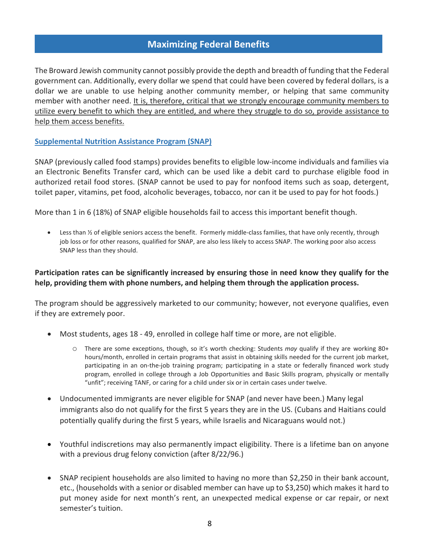## **Maximizing Federal Benefits**

The Broward Jewish community cannot possibly provide the depth and breadth of funding that the Federal government can. Additionally, every dollar we spend that could have been covered by federal dollars, is a dollar we are unable to use helping another community member, or helping that same community member with another need. It is, therefore, critical that we strongly encourage community members to utilize every benefit to which they are entitled, and where they struggle to do so, provide assistance to help them access benefits.

**Supplemental Nutrition Assistance Program (SNAP)** 

SNAP (previously called food stamps) provides benefits to eligible low-income individuals and families via an Electronic Benefits Transfer card, which can be used like a debit card to purchase eligible food in authorized retail food stores. (SNAP cannot be used to pay for nonfood items such as soap, detergent, toilet paper, vitamins, pet food, alcoholic beverages, tobacco, nor can it be used to pay for hot foods.)

More than 1 in 6 (18%) of SNAP eligible households fail to access this important benefit though.

Less than  $\frac{1}{2}$  of eligible seniors access the benefit. Formerly middle-class families, that have only recently, through job loss or for other reasons, qualified for SNAP, are also less likely to access SNAP. The working poor also access SNAP less than they should.

#### **Participation rates can be significantly increased by ensuring those in need know they qualify for the help, providing them with phone numbers, and helping them through the application process.**

The program should be aggressively marketed to our community; however, not everyone qualifies, even if they are extremely poor.

- Most students, ages 18 49, enrolled in college half time or more, are not eligible.
	- o There are some exceptions, though, so it's worth checking: Students *may* qualify if they are working 80+ hours/month, enrolled in certain programs that assist in obtaining skills needed for the current job market, participating in an on-the-job training program; participating in a state or federally financed work study program, enrolled in college through a Job Opportunities and Basic Skills program, physically or mentally "unfit"; receiving TANF, or caring for a child under six or in certain cases under twelve.
- Undocumented immigrants are never eligible for SNAP (and never have been.) Many legal immigrants also do not qualify for the first 5 years they are in the US. (Cubans and Haitians could potentially qualify during the first 5 years, while Israelis and Nicaraguans would not.)
- Youthful indiscretions may also permanently impact eligibility. There is a lifetime ban on anyone with a previous drug felony conviction (after 8/22/96.)
- SNAP recipient households are also limited to having no more than \$2,250 in their bank account, etc., (households with a senior or disabled member can have up to \$3,250) which makes it hard to put money aside for next month's rent, an unexpected medical expense or car repair, or next semester's tuition.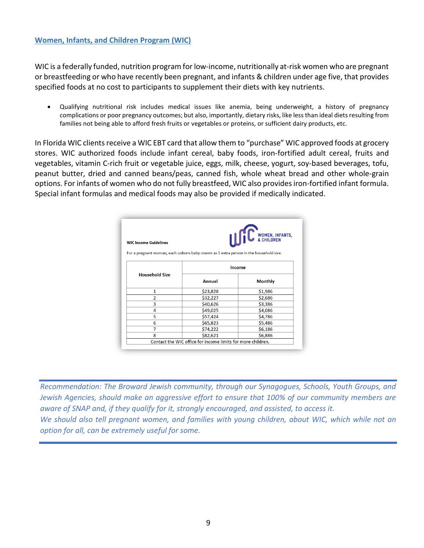#### **Women, Infants, and Children Program (WIC)**

WIC is a federally funded, nutrition program for low-income, nutritionally at-risk women who are pregnant or breastfeeding or who have recently been pregnant, and infants & children under age five, that provides specified foods at no cost to participants to supplement their diets with key nutrients.

• Qualifying nutritional risk includes medical issues like anemia, being underweight, a history of pregnancy complications or poor pregnancy outcomes; but also, importantly, dietary risks, like less than ideal diets resulting from families not being able to afford fresh fruits or vegetables or proteins, or sufficient dairy products, etc.

In Florida WIC clients receive a WIC EBT card that allow them to "purchase" WIC approved foods at grocery stores. WIC authorized foods include infant cereal, baby foods, iron-fortified adult cereal, fruits and vegetables, vitamin C-rich fruit or vegetable juice, eggs, milk, cheese, yogurt, soy-based beverages, tofu, peanut butter, dried and canned beans/peas, canned fish, whole wheat bread and other whole-grain options. For infants of women who do not fully breastfeed, WIC also provides iron-fortified infant formula. Special infant formulas and medical foods may also be provided if medically indicated.

| <b>WIC Income Guidelines</b>                                                           |          | WOMEN, INFANTS, |  |  |  |  |
|----------------------------------------------------------------------------------------|----------|-----------------|--|--|--|--|
| For a pregnant woman, each unborn baby counts as 1 extra person in the household size. |          |                 |  |  |  |  |
| <b>Household Size</b>                                                                  | Income   |                 |  |  |  |  |
|                                                                                        | Annual   | Monthly         |  |  |  |  |
| 1                                                                                      | \$23,828 | \$1,986         |  |  |  |  |
| $\overline{2}$                                                                         | \$32,227 | \$2,686         |  |  |  |  |
| 3                                                                                      | \$40,626 | \$3,386         |  |  |  |  |
| 4                                                                                      | \$49,025 | \$4,086         |  |  |  |  |
| 5                                                                                      | \$57,424 | \$4,786         |  |  |  |  |
| 6                                                                                      | \$65,823 | \$5,486         |  |  |  |  |
| 7                                                                                      | \$74,222 | \$6,186         |  |  |  |  |
| 8                                                                                      | \$82,621 | \$6,886         |  |  |  |  |

*Recommendation: The Broward Jewish community, through our Synagogues, Schools, Youth Groups, and Jewish Agencies, should make an aggressive effort to ensure that 100% of our community members are aware of SNAP and, if they qualify for it, strongly encouraged, and assisted, to access it. We should also tell pregnant women, and families with young children, about WIC, which while not an option for all, can be extremely useful for some.*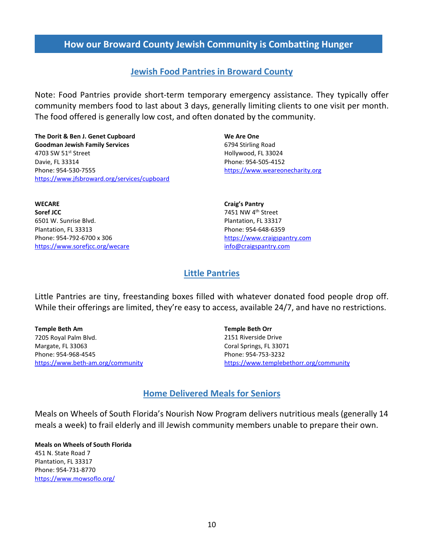## **How our Broward County Jewish Community is Combatting Hunger**

## **Jewish Food Pantries in Broward County**

Note: Food Pantries provide short-term temporary emergency assistance. They typically offer community members food to last about 3 days, generally limiting clients to one visit per month. The food offered is generally low cost, and often donated by the community.

**The Dorit & Ben J. Genet Cupboard Goodman Jewish Family Services** 4703 SW  $51<sup>st</sup>$  Street Davie, FL 33314 Phone: 954-530-7555 <https://www.jfsbroward.org/services/cupboard>

**WECARE Soref JCC** 6501 W. Sunrise Blvd. Plantation, FL 33313 Phone: 954-792-6700 x 306 <https://www.sorefjcc.org/wecare> **We Are One** 6794 Stirling Road Hollywood, FL 33024 Phone: 954-505-4152 [https://www.weareonecharity.org](https://www.weareonecharity.org/)

**Craig's Pantry** 7451 NW 4<sup>th</sup> Street Plantation, FL 33317 Phone: 954-648-6359 [https://www.craigspantry.com](https://www.craigspantry.com/) [info@craigspantry.com](mailto:info@craigspantry.com)

#### **Little Pantries**

Little Pantries are tiny, freestanding boxes filled with whatever donated food people drop off. While their offerings are limited, they're easy to access, available 24/7, and have no restrictions.

**Temple Beth Am** 7205 Royal Palm Blvd. Margate, FL 33063 Phone: 954-968-4545 <https://www.beth-am.org/community> **Temple Beth Orr** 2151 Riverside Drive Coral Springs, FL 33071 Phone: 954-753-3232 [https://www.templebethorr.org/community](https://www.templebethorr.org/community/community-food-closet/)

## **Home Delivered Meals for Seniors**

Meals on Wheels of South Florida's Nourish Now Program delivers nutritious meals (generally 14 meals a week) to frail elderly and ill Jewish community members unable to prepare their own.

**Meals on Wheels of South Florida** 451 N. State Road 7 Plantation, FL 33317 Phone: 954-731-8770 <https://www.mowsoflo.org/>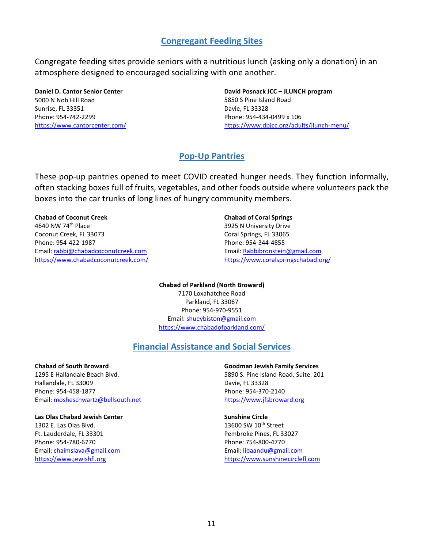## **Congregant Feeding Sites**

Congregate feeding sites provide seniors with a nutritious lunch (asking only a donation) in an atmosphere designed to encouraged socializing with one another.

**Daniel D. Cantor Senior Center** 5000 N Nob Hill Road Sunrise, FL 33351 Phone: 954-742-2299 <https://www.cantorcenter.com/>

**David Posnack JCC – JLUNCH program** 5850 S Pine Island Road Davie, FL 33328 Phone: 954-434-0499 x 106 <https://www.dpjcc.org/adults/jlunch-menu/>

## **Pop-Up Pantries**

These pop-up pantries opened to meet COVID created hunger needs. They function informally, often stacking boxes full of fruits, vegetables, and other foods outside where volunteers pack the boxes into the car trunks of long lines of hungry community members.

#### **Chabad of Coconut Creek**

4640 NW 74th Place Coconut Creek, FL 33073 Phone: 954-422-1987 Email[: rabbi@chabadcoconutcreek.com](mailto:rabbi@chabadcoconutcreek.com) <https://www.chabadcoconutcreek.com/>

#### **Chabad of Coral Springs**

3925 N University Drive Coral Springs, FL 33065 Phone: 954-344-4855 Email: [Rabbibronstein@gmail.com](mailto:Rabbibronstein@gmail.com) <https://www.coralspringschabad.org/>

**Chabad of Parkland (North Broward)** 7170 Loxahatchee Road Parkland, FL 33067 Phone: 954-970-9551 Email[: shueybiston@gmail.com](mailto:shueybiston@gmail.com) [https://www.c](https://www.chabadcoconutcreek.com/)habadofparkland.com/

#### **Financial Assistance and Social Services**

**Chabad of South Broward** 1295 E Hallandale Beach Blvd. Hallandale, FL 33009 Phone: 954-458-1877 Email[: mosheschwartz@bellsouth.net](mailto:mosheschwartz@bellsouth.net)

#### **Las Olas Chabad Jewish Center**

1302 E. Las Olas Blvd. Ft. Lauderdale, FL 33301 Phone: 954-780-6770 Email[: chaimslava@gmail.com](mailto:chaimslava@gmail.com) [https://www.jewishfl.org](https://www.jewishfl.org/)

**Goodman Jewish Family Services** 5890 S. Pine Island Road, Suite. 201 Davie, FL 33328 Phone: 954-370-2140 [https://www.jfsbroward.org](https://www.jfsbroward.org/)

**Sunshine Circl[e](https://www.jewishfl.org/)**

13600 SW  $10<sup>th</sup>$  Street Pembroke Pines, FL 33027 Phone: 754-800-4770 Email: [libaandu@gmail.com](mailto:libaandu@gmail.com)  [https://www.sunshinecirclefl.com](https://www.sunshinecirclefl.com/)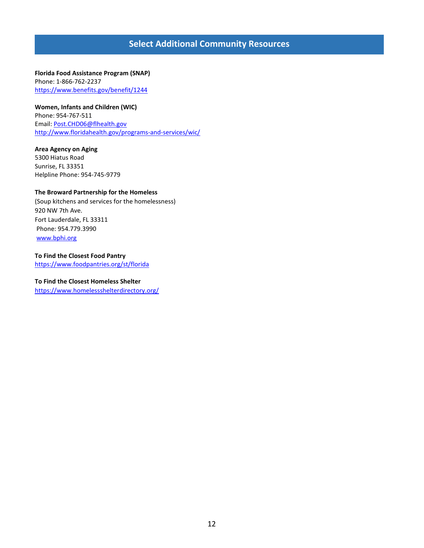## **Select Additional Community Resources**

**Florida Food Assistance Program (SNAP)**  Phone: 1-866-762-2237 <https://www.benefits.gov/benefit/1244>

**Women, Infants and Children (WIC)** Phone: 954-767-511 Email[: Post.CHD06@flhealth.gov](mailto:Post.CHD06@flhealth.gov) <http://www.floridahealth.gov/programs-and-services/wic/>

**Area Agency on Aging** 5300 Hiatus Road Sunrise, FL 33351 Helpline Phone: 954-745-9779

#### **The Broward Partnership for the Homeless**

(Soup kitchens and services for the homelessness) 920 NW 7th Ave. Fort Lauderdale, FL 33311 Phone: 954.779.3990 [www.bphi.org](http://www.bphi.org/)

**To Find the Closest Food Pantry**  <https://www.foodpantries.org/st/florida>

**To Find the Closest Homeless Shelter** <https://www.homelessshelterdirectory.org/>

12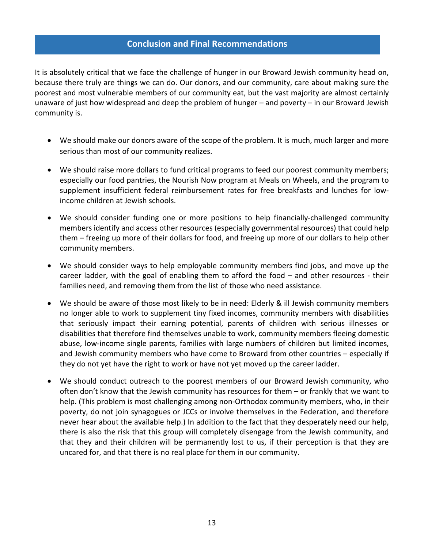#### **Conclusion and Final Recommendations**

It is absolutely critical that we face the challenge of hunger in our Broward Jewish community head on, because there truly are things we can do. Our donors, and our community, care about making sure the poorest and most vulnerable members of our community eat, but the vast majority are almost certainly unaware of just how widespread and deep the problem of hunger – and poverty – in our Broward Jewish community is.

- We should make our donors aware of the scope of the problem. It is much, much larger and more serious than most of our community realizes.
- We should raise more dollars to fund critical programs to feed our poorest community members; especially our food pantries, the Nourish Now program at Meals on Wheels, and the program to supplement insufficient federal reimbursement rates for free breakfasts and lunches for lowincome children at Jewish schools.
- We should consider funding one or more positions to help financially-challenged community members identify and access other resources (especially governmental resources) that could help them – freeing up more of their dollars for food, and freeing up more of our dollars to help other community members.
- We should consider ways to help employable community members find jobs, and move up the career ladder, with the goal of enabling them to afford the food – and other resources - their families need, and removing them from the list of those who need assistance.
- We should be aware of those most likely to be in need: Elderly & ill Jewish community members no longer able to work to supplement tiny fixed incomes, community members with disabilities that seriously impact their earning potential, parents of children with serious illnesses or disabilities that therefore find themselves unable to work, community members fleeing domestic abuse, low-income single parents, families with large numbers of children but limited incomes, and Jewish community members who have come to Broward from other countries – especially if they do not yet have the right to work or have not yet moved up the career ladder.
- We should conduct outreach to the poorest members of our Broward Jewish community, who often don't know that the Jewish community has resources for them – or frankly that we want to help. (This problem is most challenging among non-Orthodox community members, who, in their poverty, do not join synagogues or JCCs or involve themselves in the Federation, and therefore never hear about the available help.) In addition to the fact that they desperately need our help, there is also the risk that this group will completely disengage from the Jewish community, and that they and their children will be permanently lost to us, if their perception is that they are uncared for, and that there is no real place for them in our community.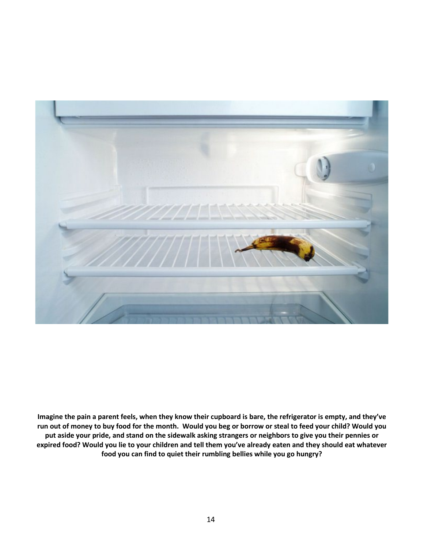

**Imagine the pain a parent feels, when they know their cupboard is bare, the refrigerator is empty, and they've run out of money to buy food for the month. Would you beg or borrow or steal to feed your child? Would you put aside your pride, and stand on the sidewalk asking strangers or neighbors to give you their pennies or expired food? Would you lie to your children and tell them you've already eaten and they should eat whatever food you can find to quiet their rumbling bellies while you go hungry?**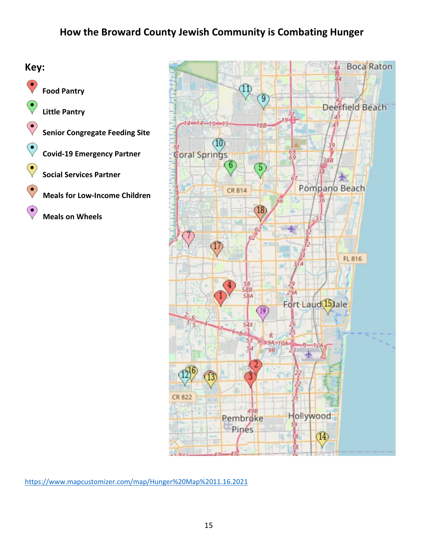





<https://www.mapcustomizer.com/map/Hunger%20Map%2011.16.2021>